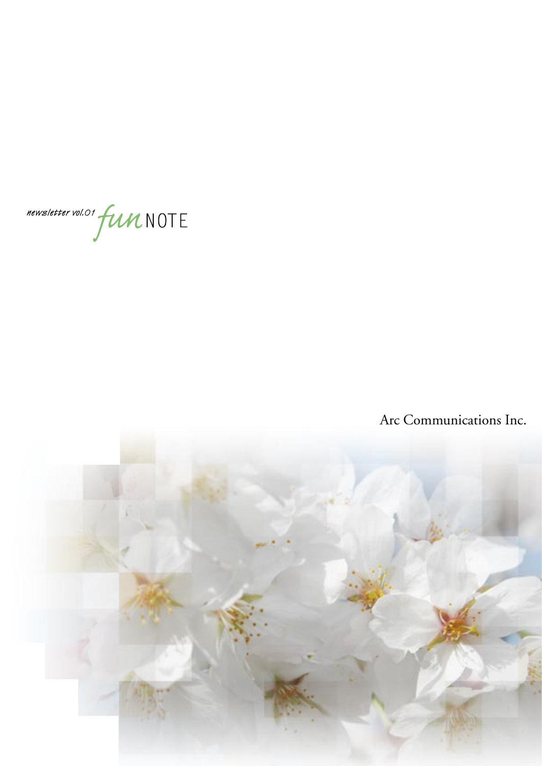

# Arc Communications Inc.

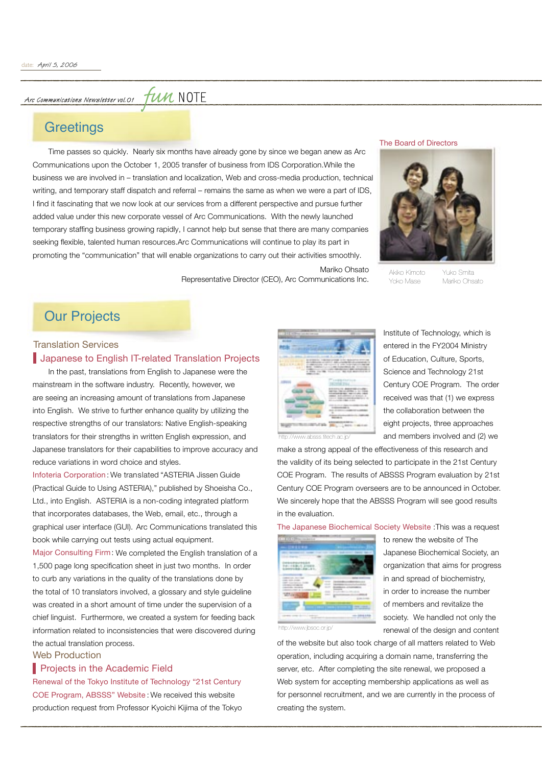Arc Communications Newsletter vol. 01

*fun* NOTE

## **Greetings**

 Time passes so quickly. Nearly six months have already gone by since we began anew as Arc Communications upon the October 1, 2005 transfer of business from IDS Corporation.While the business we are involved in – translation and localization, Web and cross-media production, technical business we are involved in – translation and localization, Web and cross-media production, technical writing, and temporary staff dispatch and referral – remains the same as when we were a part of IDS, writing, and temporary staff dispatch and referral – remains the same as when we were a part of IDS, I find it fascinating that we now look at our services from a different perspective and pursue further added value under this new corporate vessel of Arc Communications. With the newly launched temporary staffing business growing rapidly, I cannot help but sense that there are many companies seeking flexible, talented human resources.Arc Communications will continue to play its part in promoting the "communication" that will enable organizations to carry out their activities smoothly.

The Board of Directors



Akiko Kimoto Yuko Smita Yoko Mase Mariko Ohsato

## Our Projects

### **Japanese to English IT-related Translation Projects** Translation Services

 In the past, translations from English to Japanese were the mainstream in the software industry. Recently, however, we are seeing an increasing amount of translations from Japanese into English. We strive to further enhance quality by utilizing the respective strengths of our translators: Native English-speaking translators for their strengths in written English expression, and Japanese translators for their capabilities to improve accuracy and reduce variations in word choice and styles.

Infoteria Corporation: We translated "ASTERIA Jissen Guide (Practical Guide to Using ASTERIA)," published by Shoeisha Co., Ltd., into English. ASTERIA is a non-coding integrated platform that incorporates databases, the Web, email, etc., through a graphical user interface (GUI). Arc Communications translated this book while carrying out tests using actual equipment.

Major Consulting Firm: We completed the English translation of a 1,500 page long specification sheet in just two months. In order to curb any variations in the quality of the translations done by the total of 10 translators involved, a glossary and style guideline was created in a short amount of time under the supervision of a chief linguist. Furthermore, we created a system for feeding back information related to inconsistencies that were discovered during the actual translation process.

#### Web Production

#### **Projects in the Academic Field**

Renewal of the Tokyo Institute of Technology "21st Century COE Program, ABSSS" Website : We received this website production request from Professor Kyoichi Kijima of the Tokyo



Representative Director (CEO), Arc Communications Inc.

Mariko Ohsato

Institute of Technology, which is entered in the FY2004 Ministry of Education, Culture, Sports, Science and Technology 21st Century COE Program. The order received was that (1) we express the collaboration between the eight projects, three approaches and members involved and (2) we

http://www.absss.titech.ac.jp/

make a strong appeal of the effectiveness of this research and the validity of its being selected to participate in the 21st Century COE Program. The results of ABSSS Program evaluation by 21st Century COE Program overseers are to be announced in October. We sincerely hope that the ABSSS Program will see good results in the evaluation.

The Japanese Biochemical Society Website :This was a request



to renew the website of The Japanese Biochemical Society, an organization that aims for progress in and spread of biochemistry, in order to increase the number of members and revitalize the society. We handled not only the renewal of the design and content

of the website but also took charge of all matters related to Web operation, including acquiring a domain name, transferring the server, etc. After completing the site renewal, we proposed a Web system for accepting membership applications as well as for personnel recruitment, and we are currently in the process of creating the system.